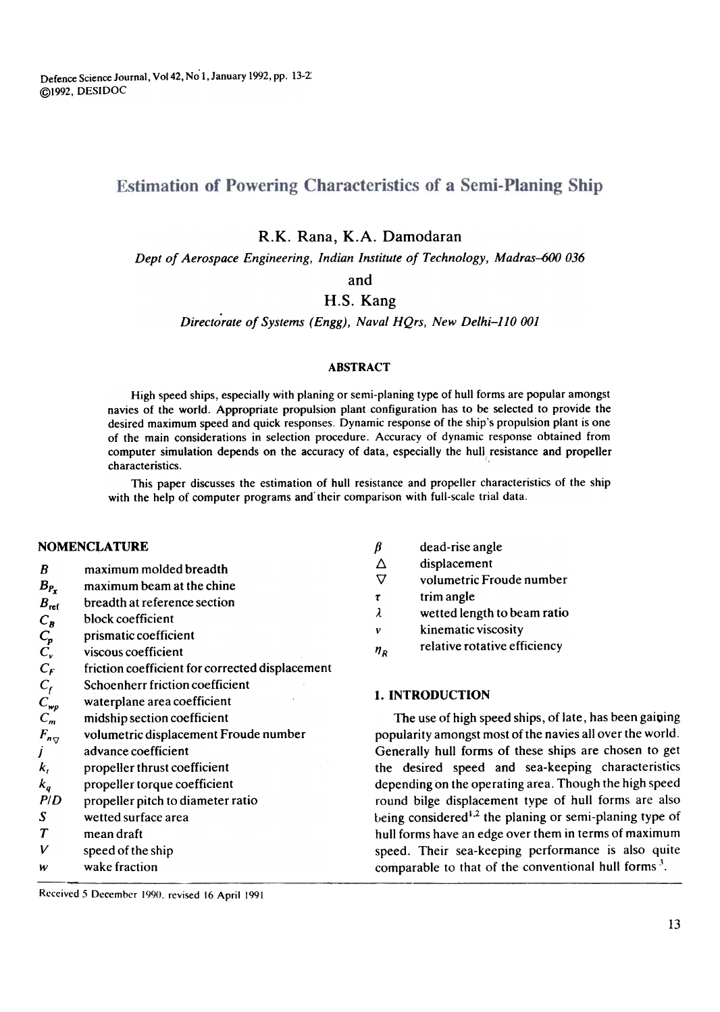Defence Science Journal, Vo142, No 1,January 1992, pp. 13-2: @1992, DESIDOC

# **Estimation of Powering Characteristics of a Semi-Planing Ship**

R.K. Rana, K.A. Damodaran

Dept of Aerospace Engineering, Indian Institute of Technology, Madras-600 036

and

# H.S. Kang

Directorate of Systems (Engg), Naval HQrs, New Delhi-110 001

### ABSTRACT

High speed ships, especially with planing or semi-planing type of hull forms are popular amongst navies of the world. Appropriate propulsion plant configuration has to be selected to provide the desired maximum speed and quick responses. Dynamic response of the ship's propulsion plant is one of the main considerations in selection procedure. Accuracy of dynamic response obtained from computer simulation depends on the accuracy of data, especially the hull resistance and propeller characteristics.

This paper discusses the estimation of hull resistance and propeller characteristics of the ship with the help of computer programs and their comparison with full-scale trial data.

### NOMENCLATURE  $\beta$

- B maximum molded breadth
- $B_{P_{\tau}}$ maximum beam at the chine
- $B_{\text{ref}}$ breadth at reference section
- CB block coefficient
- $\mathbf{v}_p$ prismatic coefficient
- $\mathsf{L}_{\mathsf{v}}$ viscous coefficient
- $\mathbf{c}_F$ friction coefficient for corrected displacement
- $\mathbf{v}_\mathbf{0}$ Schoenherr friction coefficient
- $C_{wp}$ waterplane area coefficient
- $\mathsf{C}_m$ midship section coefficient
- $\overline{\phantom{a}}$  v J volumetric displacement Froude number advance coefficient
- $k_t$ propeller thrust coefficient
- propeller torque coefficient
- k q PID propeller pitch to diameter ratio
- S wetted surface area
- T mean draft
- V speed of the ship
- w wake fraction
- dead-rise angle
- $\Delta$ displacement
- $\triangledown$ volumetric Froude number
- 'f trim angle
- $\lambda$ wetted length to beam ratio
- v kinematic viscosity
- $n_R$ relative rotative efficiency

# I. INTRODUCTION

The use of high speed ships, of late, has been gaining popularity amongst most of the navies allover the world. Generally hull forms of these ships are chosen to get the desired speed and sea-keeping characteristics depending on the operating area. Though the high speed round bilge displacement type of hull forms are also being considered<sup>1,2</sup> the planing or semi-planing type of hull forms have an edge over them in terms of maximum speed. Their sea-keeping performance is also quite comparable to that of the conventional hull forms  $3$ .

Received 5 December 1990, revised 16 April 1991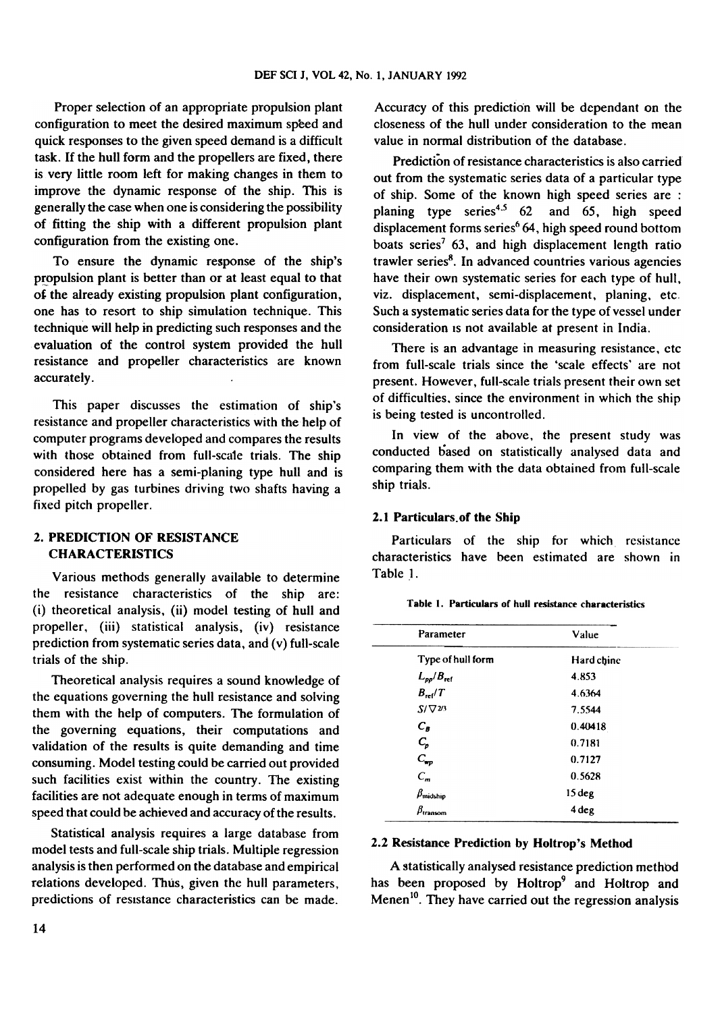Proper selection of an appropriate propulsion plant configuration to meet the desired maximum speed and quick responses to the given speed demand is a difficult task. If the hull form and the propellers are fixed, there is very little room left for making changes in them to improve the dynamic response of the ship. This is generally the case when one is considering the possibility of fitting the ship with a different propulsion plant configuration from the existing one.

To ensure the dynamic response of the ship's propulsion plant is better than or at least equal to that of the already existing propulsion plant configuration, one has to resort to ship simulation technique. This technique will help in predicting such responses and the evaluation of the control system provided the hull resistance and propeller characteristics are known accurately.

This paper discusses the estimation of ship's resistance and propeller characteristics with the help of computer programs developed and compares the results with those obtained from full-scale trials. The ship considered here has a semi-planing type hull and is propelled by gas turbines driving two shafts having a fixed pitch propeller.

# 2. PREDICTION OF RESISTANCE CHARACTERISTICS

Various methods generally available to determine the resistance characteristics of the ship are: (i) theoretical analysis, (ii) model testing of hull and propeller, (iii) statistical analysis, (iv) resistance prediction from systematic series data, and (v) full-scale trials of the ship.

Theoretical analysis requires a sound knowledge of the equations governing the hull resistance and solving them with the help of computers. The formulation of the governing equations, their computations and validation of the results is quite demanding and time consuming. Model testing could be carried out provided such facilities exist within the country. The existing facilities are not adequate enough in terms of maximum speed that could be achieved and accuracy of the results.

Statistical analysis requires a large database from model tests and full-scale ship trials. Multiple regression analysis is then performed on the database and empirical relations developed. Thus, given the hull parameters, predictions of resistance characteristics can be made.

Accuracy of this prediction will be dependant on the closeness of the hull under consideration to the mean value in normal distribution of the database.

Prediction of resistance characteristics is also carried out from the systematic series data of a particular type of ship. Some of the known high speed series are : planing type series<sup>4.5</sup> 62 and 65, high speed displacement forms series $64$ , high speed round bottom boats series<sup>7</sup> 63, and high displacement length ratio trawler series $8$ . In advanced countries various agencies have their own systematic series for each type of hull, viz. displacement, semi-displacement, planing, etc. Such a systematic series data for the type of vessel under consideration is not available at present in India.

There is an advantage in measuring resistance, ctc from full-scale trials since the 'scale effects' are not present. However, full-scale trials present their own set of difficulties, since the environment in which the ship is being tested is uncontrolled.

In view of the above, the present study was conducted based on statistically analysed data and comparing them with the data obtained from full-scale ship trials.

## 2.1 Particulars.of the Ship

Particulars of the ship for which resistance characteristics have been estimated are shown in Table 1.

| Parameter             | Value             |
|-----------------------|-------------------|
| Type of hull form     | Hard chine        |
| $L_{pp}/B_{\rm ref}$  | 4.853             |
| $B_{\rm ref}/T$       | 4.6364            |
| $S/\nabla^{2/3}$      | 7.5544            |
| $C_B$                 | 0.40418           |
| $C_p$                 | 0.7181            |
| $C_{wp}$              | 0.7127            |
| $C_m$                 | 0.5628            |
| $\beta_{\rm midship}$ | 15 <sub>deg</sub> |
| $\beta_{\rm transom}$ | 4 deg             |

## Table I. Particulars of hull resistance characteristics

#### 2.2 Resistance Prediction by Holtrop's Method

A statistically analysed resistance prediction method has been proposed by Holtrop<sup>9</sup> and Holtrop and Menen<sup>10</sup>. They have carried out the regression analysis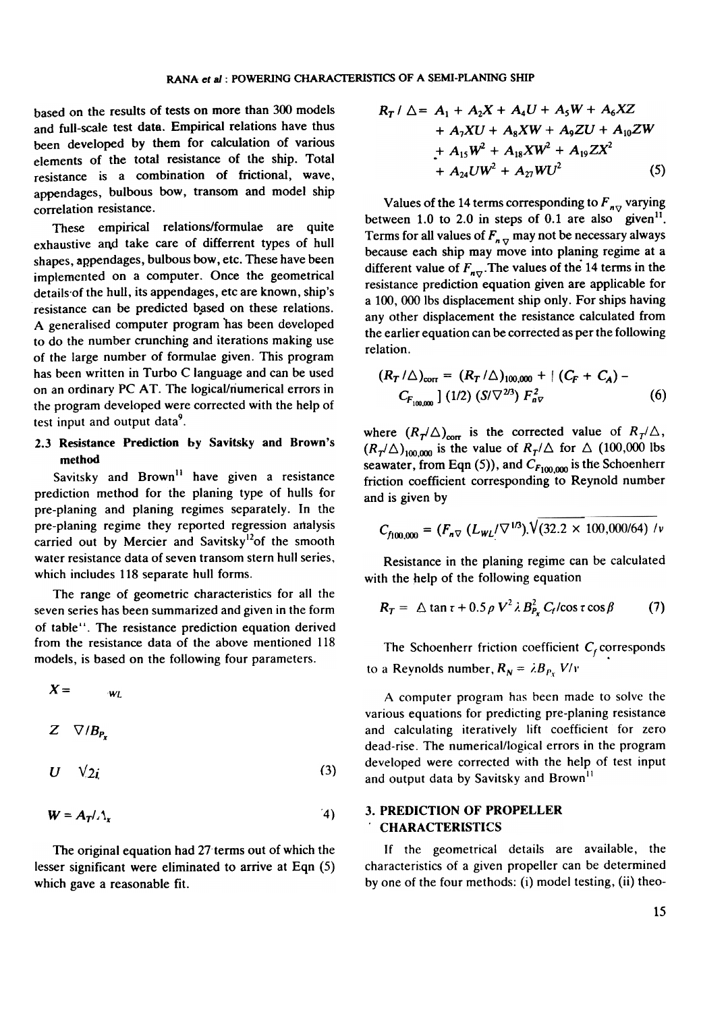based on the results of tests on more than 300 models and full-scale test data. Empirical relations have thus been developed by them for calculation of various elements of the total resistance of the ship. Total resistance is a combination of frictional, wave, appendages, bulbous bow, transom and model ship correlation resistance.

These empirical relations/formulae are quite exhaustive and take care of differrent types of hull shapes, appendages, bulbous bow, etc. These have been implemented on a computer. Once the geometrical details of the hull, its appendages, etc are known, ship's resistance can be predicted based on these relations. A generalised computer program has been developed to do the number crunching and iterations making use of the large number of formulae given. This program has been written in Turbo C language and can be used on an ordinary PC AT. The logical/numerical errors in the program developed were corrected with the help of test input and output data<sup>9</sup>.

# 2.3 Resistance Prediction by Savitsky and Brown's method

Savitsky and  $Brown<sup>11</sup>$  have given a resistance prediction method for the planing type of hulls for pre-planing and planing regimes separately. In the pre-planing regime they reported regression artalysis carried out by Mercier and Savitsky<sup>12</sup>of the smooth water resistance data of seven transom stern hull series, which includes 118 separate hull forms.

The range of geometric characteristics for all the seven series has been summarized and given in the form of table". The resistance prediction equation derived from the resistance data of the above mentioned 118 models, is based on the following four parameters.

$$
X = w_L
$$

 $Z \nabla / B_{P_x}$ 

$$
U \quad \sqrt{2}i \tag{3}
$$

$$
W = A_T / \Lambda_x \tag{4}
$$

The original equation had 27 terms out of which the lesser significant were eliminated to arrive at Eqn (5) which gave a reasonable fit.

$$
R_{T} / \triangle = A_{1} + A_{2}X + A_{4}U + A_{5}W + A_{6}XZ
$$
  
+  $A_{7}XU + A_{8}XW + A_{9}ZU + A_{10}ZW$   
+  $A_{15}W^{2} + A_{18}XW^{2} + A_{19}ZX^{2}$   
+  $A_{24}UW^{2} + A_{27}WU^{2}$  (5)

Values of the 14 terms corresponding to  $F_{\eta\tau}$  varying between 1.0 to 2.0 in steps of 0.1 are also given<sup>11</sup>. Terms for all values of  $F_{n, \nabla}$  may not be necessary always because each ship may move into planing regime at a different value of  $F_{\eta,\nabla}$ . The values of the 14 terms in the resistance prediction equation given are applicable for a 100, 000 Ibs displacement ship only. For ships having any other displacement the resistance calculated from the earlier equation can be corrected as per the following relation.

$$
(R_T/\triangle)_{\text{corr}} = (R_T/\triangle)_{100,000} + |(C_F + C_A) - C_{F_{100,000}}| (1/2) (S/\nabla^{2/3}) F_{n\nabla}^2
$$
 (6)

where  $(R_T/\Delta)_{\text{corr}}$  is the corrected value of  $R_T/\Delta$ ,  $(R_T/\Delta)_{100,000}$  is the value of  $R_T/\Delta$  for  $\Delta$  (100,000 lbs seawater, from Eqn (5)), and  $C_{F100,000}$  is the Schoenherr friction coefficient corresponding to Reynold number and is given by

$$
C_{f100,000} = (F_{n\triangledown} (L_{WL}/\triangledown^{1/3})\sqrt{(32.2 \times 100,000/64) / \nu}
$$

Resistance in the planing regime can be calculated with the help of the following equation

$$
R_T = \Delta \tan \tau + 0.5 \rho V^2 \lambda B_{P_X}^2 C_f / \cos \tau \cos \beta \qquad (7)
$$

The Schoenherr friction coefficient  $C_f$  corresponds to a Reynolds number,  $R_N = \lambda B_{P_X} V/v$ 

A computer program has been made to solve the various equations for predicting pre-planing resistance and calculating iteratively lift coefficient for zero dead-rise. The numerical/logical errors in the program developed were corrected with the help of test input and output data by Savitsky and Brown<sup>11</sup>

# 3. PREDICTION OF PROPELLER .CHARACTERISTICS

If the geometrical details are available, the characteristics of a given propeller can be determined by one of the four methods: (i) model testing, (ii) theo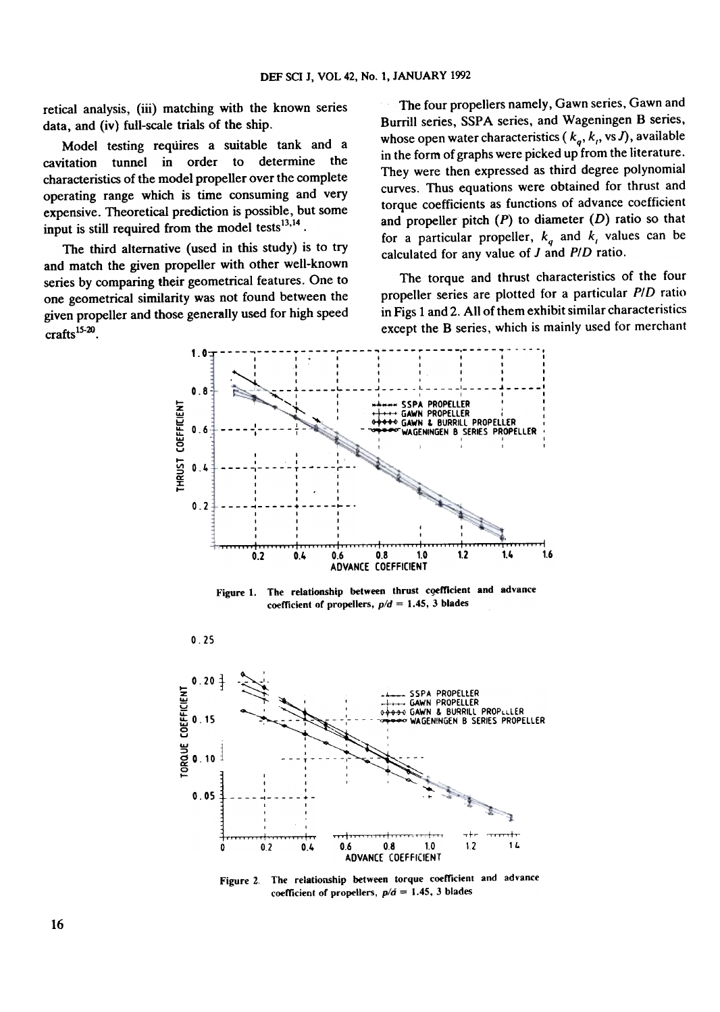retical analysis, (iii) matching with the known series data, and (iv) full-scale trials of the ship.

Model testing requires a suitable tank and a tunnel in order to determine the cavitation characteristics of the model propeller over the complete operating range which is time consuming and very expensive. Theoretical prediction is possible, but some input is still required from the model tests<sup>13,14</sup>.

The third alternative (used in this study) is to try and match the given propeller with other well-known series by comparing their geometrical features. One to one geometrical similarity was not found between the given propeller and those generally used for high speed  $craths$ <sup>15-20</sup>

 $0.25$ 

The four propellers namely, Gawn series, Gawn and Burrill series, SSPA series, and Wageningen B series, whose open water characteristics  $(k_a, k_t, \text{vs } J)$ , available in the form of graphs were picked up from the literature. They were then expressed as third degree polynomial curves. Thus equations were obtained for thrust and torque coefficients as functions of advance coefficient and propeller pitch  $(P)$  to diameter  $(D)$  ratio so that for a particular propeller,  $k_q$  and  $k_l$  values can be calculated for any value of  $J$  and  $P/D$  ratio.

The torque and thrust characteristics of the four propeller series are plotted for a particular P/D ratio in Figs 1 and 2. All of them exhibit similar characteristics except the B series, which is mainly used for merchant



Figure 1. The relationship between thrust coefficient and advance coefficient of propellers,  $p/d = 1.45$ , 3 blades



Figure 2. The relationship between torque coefficient and advance coefficient of propellers,  $p/d = 1.45$ , 3 blades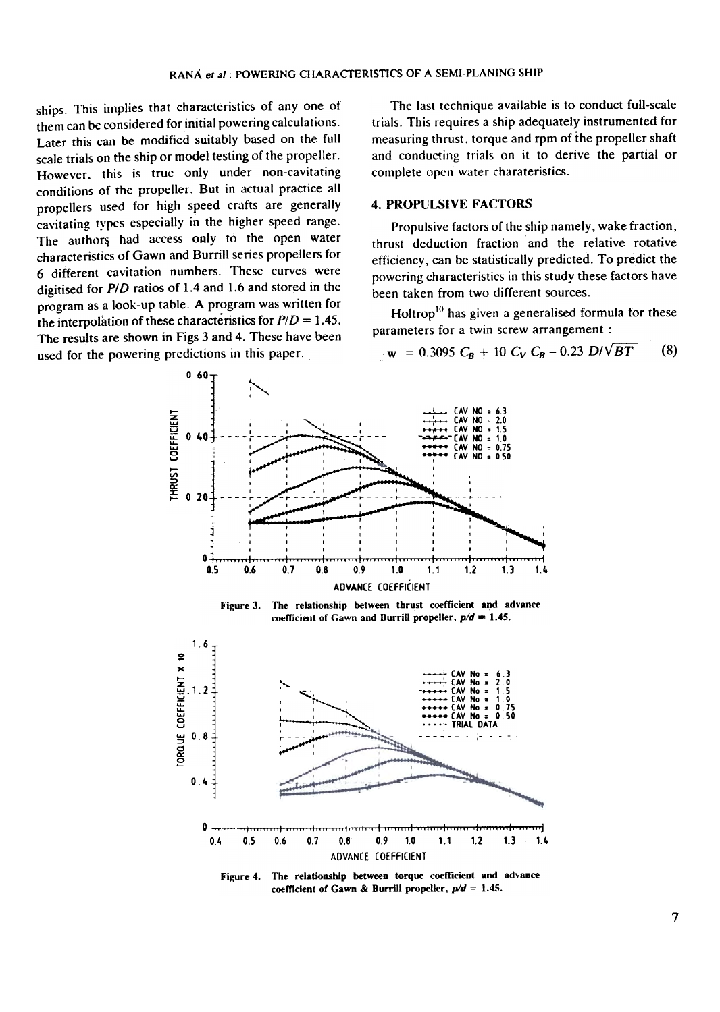ships. This implies that characteristics of any one of them can be considered for initial powering calculations. Later this can be modified suitably based on the full scale trials on the ship or model testing of the propeller. However, this is true only under non-cavitating conditions of the propeller. But in actual practice all propellers used for high speed crafts are generally cavitating types especially in the higher speed range. The authors had access only to the open water characteristics of Gawn and Burrill series propellers for 6 different cavitation numbers. These curves were digitised for  $P/D$  ratios of 1.4 and 1.6 and stored in the program as a look-up table. A program was written for the interpolation of these characteristics for  $P/D = 1.45$ . The results are shown in Figs 3 and 4. These have been used for the powering predictions in this paper.

The last technique available is to conduct full-scale trials. This requires a ship adequately instrumented for measuring thrust, torque and rpm of the propeller shaft and conducting trials on it to derive the partial or complete open water charateristics.

## **4. PROPULSIVE FACTORS**

Propulsive factors of the ship namely, wake fraction, thrust deduction fraction and the relative rotative efficiency, can be statistically predicted. To predict the powering characteristics in this study these factors have been taken from two different sources.

Holtrop<sup>10</sup> has given a generalised formula for these parameters for a twin screw arrangement :

$$
w = 0.3095 C_B + 10 C_V C_B - 0.23 D/VBT
$$
 (8)



The relationship between thrust coefficient and advance Figure 3. coefficient of Gawn and Burrill propeller,  $p/d = 1.45$ .



The relationship between torque coefficient and advance Figure 4. coefficient of Gawn & Burrill propeller,  $p/d = 1.45$ .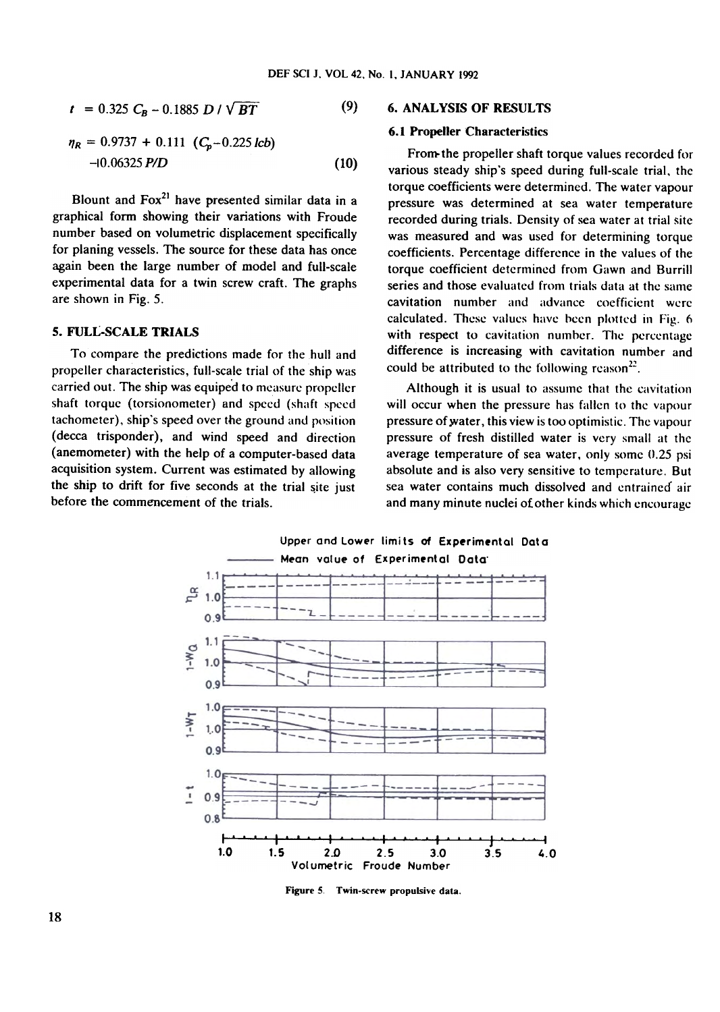$$
t = 0.325 C_B - 0.1885 D / \sqrt{BT}
$$
 (9)

$$
\eta_R = 0.9737 + 0.111 (C_p - 0.225 \text{ lcb})
$$
  
-10.06325 *P/D* (10)

Blount and  $Fox<sup>21</sup>$  have presented similar data in a graphical form showing their variations with Froude number based on volumetric displacement specifically for planing vessels. The source for these data has once again been the large number of model and full-scale experimental data for a twin screw craft. The graphs are shown in Fig. 5.

## 5. FULL-SCALE TRIALS

To compare the predictions made for the hull and propeller characteristics, full-scale trial of the ship was carried out. The ship was equiped to measure propeller shaft torque (torsionometer) and speed (shaft speed tachometer), ship's speed over the ground and position (decca trisponder), and wind speed and direction (anemometer) with the help of a computer-based data acquisition system. Current was estimated by allowing the ship to drift for five seconds at the trial site just before the commencement of the trials.

# $(9)$  6. ANALYSIS OF RESULTS

#### 6.1 Propeller Characteristics

From the propeller shaft torque values recorded for various steady ship's speed during full-scale trial, the torque coefficients were determined. The water vapour pressure was determined at sea water temperature recorded during trials. Density of sea water at trial site was measured and was used for determining torque coefficients. Percentage difference in the values of the torque coefficient determined from Gawn and Burrill series and those evaluated from trials data at the same cavitation number and advance coefficient were calculated. These valucs havc been plottcd in Fig. 6 with respect to cavitation number. The percentage difference is increasing with cavitation number and could be attributed to the following reason<sup>22</sup>.

Although it is usual to assume that the cavitation will occur when the pressure has fallen to the vapour pressure of water, this view is too optimistic. The vapour pressure of fresh distilled water is very small at thc average temperature of sea water, only some 0.25 psi absolute and is also very sensitive to temperature. But sea water contains much dissolved and entrained air and many minute nuclei of other kinds which encourage



Figure 5, Twin-screw propulsive data.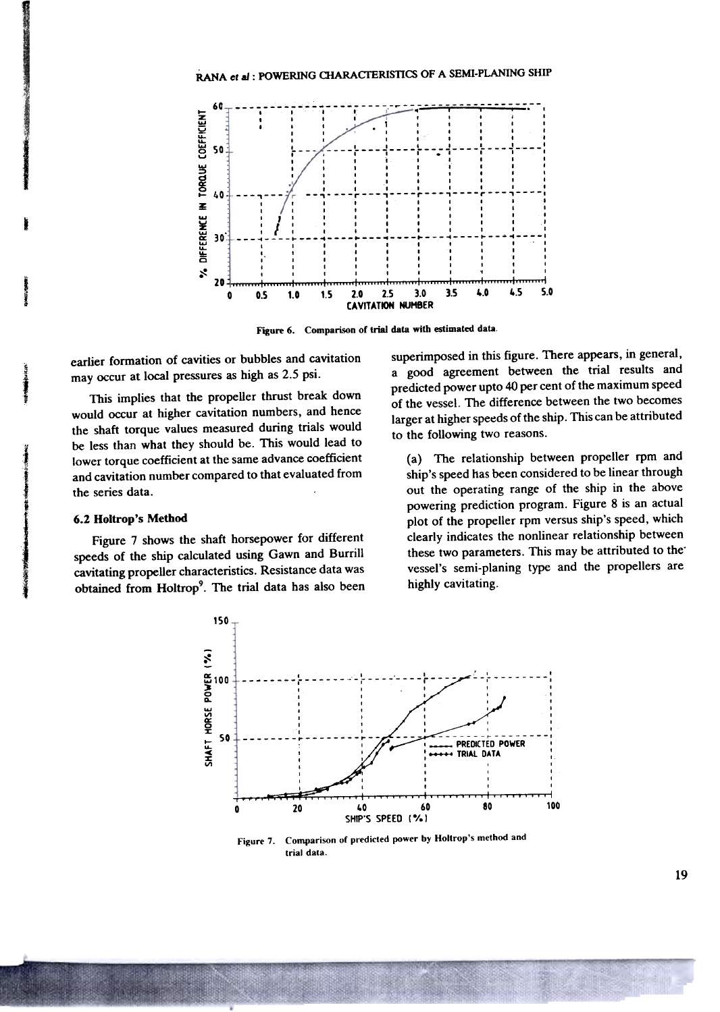

Figure 6. Comparison of trial data with estimated data.

earlier formation of cavities or bubbles and cavitation may occur at local pressures as high as 2.5 psi.

This implies that the propeller thrust break down would occur at higher cavitation numbers, and hence the shaft torque values measured during trials would be less than what they should be. This would lead to lower torque coefficient at the same advance coefficient and cavitation number compared to that evaluated from the series data.

#### 6.2 Holtron's Method

Figure 7 shows the shaft horsepower for different speeds of the ship calculated using Gawn and Burrill cavitating propeller characteristics. Resistance data was obtained from Holtrop<sup>9</sup>. The trial data has also been

superimposed in this figure. There appears, in general, a good agreement between the trial results and predicted power upto 40 per cent of the maximum speed of the vessel. The difference between the two becomes larger at higher speeds of the ship. This can be attributed to the following two reasons.

(a) The relationship between propeller rpm and ship's speed has been considered to be linear through out the operating range of the ship in the above powering prediction program. Figure 8 is an actual plot of the propeller rpm versus ship's speed, which clearly indicates the nonlinear relationship between these two parameters. This may be attributed to the vessel's semi-planing type and the propellers are highly cavitating.



Comparison of predicted power by Holtrop's method and Figure 7. trial data.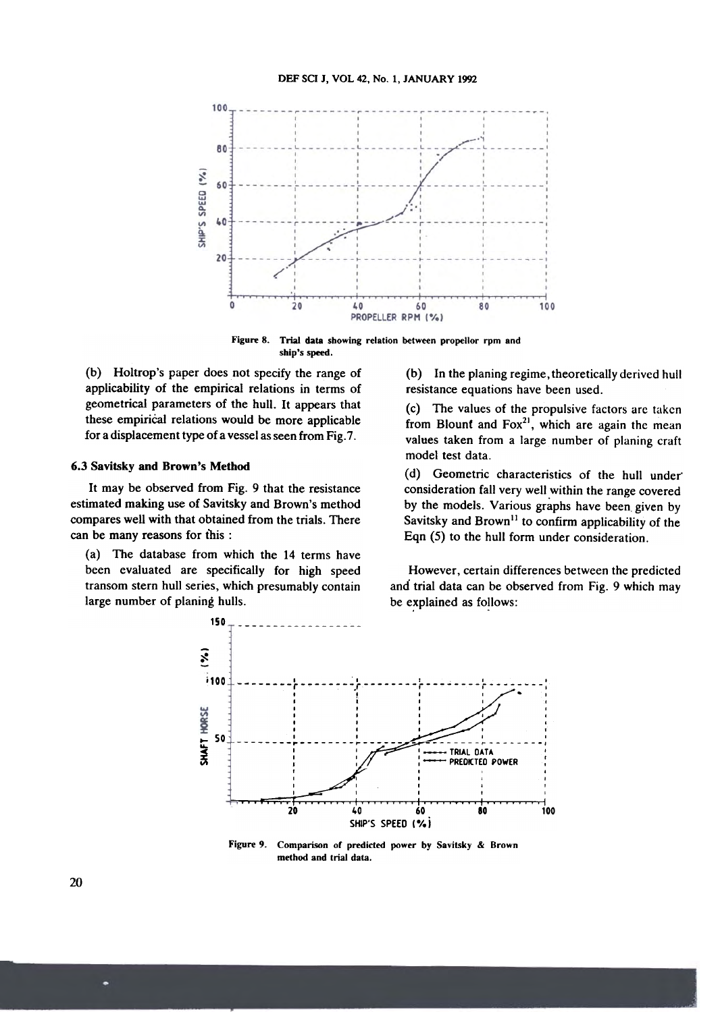

Figure 8. Trial data showing relation between propellor rpm and ship's speed.

applicability of the empirical relations in terms of resistance equations have been used. geometrical parameters of the hull. It appears that (c) The values of the propulsive factors are taken these empirical relations would be more applicable  $\frac{1}{2}$  from Blount and Fox<sup>21</sup>, which are again the mean

#### 6.3 Savitsky and Brown's Method

It may be observed from Fig. 9 that the resistance estimated making use of Savitsky and Brown's method compares well with that obtained from the trials. There can be many reasons for this :

(a) The database from which the 14 terms have been evaluated are specifically for high speed transom stern hull series, which presumably contain large number of planing hulls.

(b) Holtrop's paper does not specify the range of (b) In the planing regime, theoretically derived hull

for a displacement type of a vessel as seen from Fig.7. values taken from a large number of planing craft model test data.

> (d) Geometric characteristics of the hull under consideration fall very well within the range covered by the models. Various graphs have been given by Savitsky and Brown<sup>11</sup> to confirm applicability of the Eqn (5) to the hull form under consideration.

However, certain differences between the predicted and trial data can be observed from Fig. 9 which may be explained as follows:



Figure 9. Comparison or predicted power by Savitsky & Brown method and trial data.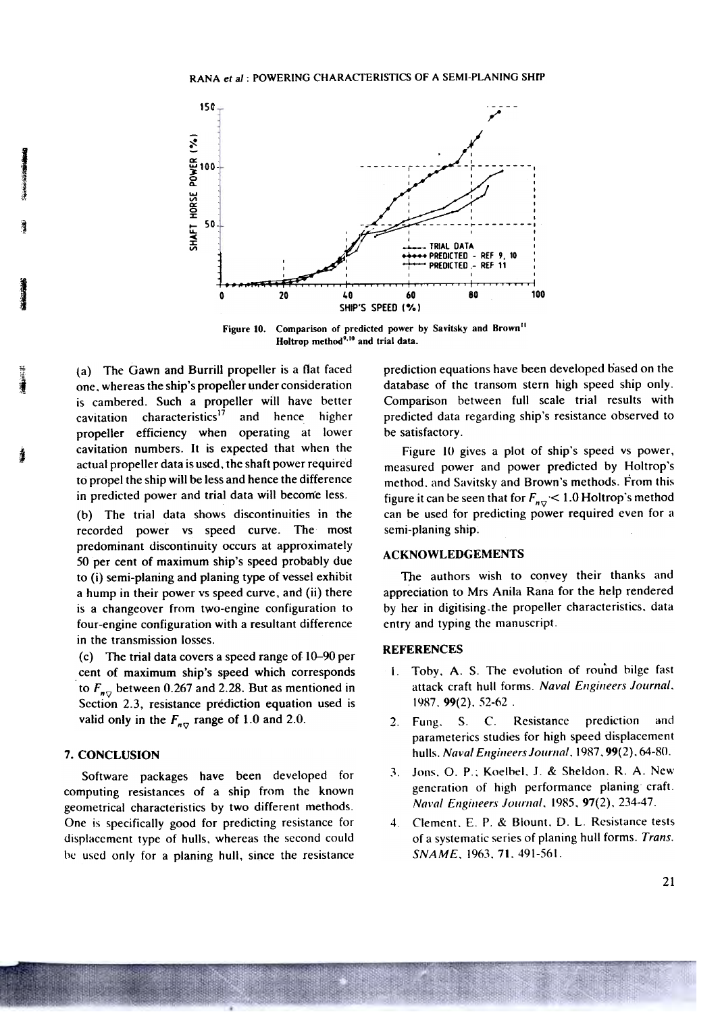

Figure 10. Comparison of predicted power by Savitsky and Brown<sup>11</sup> Holtrop method<sup>9,10</sup> and trial data.

The Gawn and Burrill propeller is a flat faced  $(a)$ one, whereas the ship's propeller under consideration is cambered. Such a propeller will have better characteristics<sup>17</sup> and hence higher cavitation propeller efficiency when operating at lower cavitation numbers. It is expected that when the actual propeller data is used, the shaft power required to propel the ship will be less and hence the difference in predicted power and trial data will become less.

(b) The trial data shows discontinuities in the recorded power vs speed curve. The most predominant discontinuity occurs at approximately 50 per cent of maximum ship's speed probably due to (i) semi-planing and planing type of vessel exhibit a hump in their power vs speed curve, and (ii) there is a changeover from two-engine configuration to four-engine configuration with a resultant difference in the transmission losses.

(c) The trial data covers a speed range of  $10-90$  per cent of maximum ship's speed which corresponds to  $F_{n\tau}$  between 0.267 and 2.28. But as mentioned in Section 2.3, resistance prediction equation used is valid only in the  $F_{nQ}$  range of 1.0 and 2.0.

# 7. CONCLUSION

Software packages have been developed for computing resistances of a ship from the known geometrical characteristics by two different methods. One is specifically good for predicting resistance for displacement type of hulls, whereas the second could be used only for a planing hull, since the resistance prediction equations have been developed based on the database of the transom stern high speed ship only. Comparison between full scale trial results with predicted data regarding ship's resistance observed to be satisfactory.

Figure 10 gives a plot of ship's speed vs power, measured power and power predicted by Holtrop's method, and Savitsky and Brown's methods. From this figure it can be seen that for  $F_{n\sigma}$  < 1.0 Holtrop's method can be used for predicting power required even for a semi-planing ship.

### **ACKNOWLEDGEMENTS**

The authors wish to convey their thanks and appreciation to Mrs Anila Rana for the help rendered by her in digitising the propeller characteristics, data entry and typing the manuscript.

## **REFERENCES**

- Toby, A. S. The evolution of round bilge fast  $\mathbf{I}$ . attack craft hull forms. Naval Engineers Journal, 1987, 99(2), 52-62.
- $S_{\cdot}$  $C$ . Resistance prediction and  $2<sub>1</sub>$ Fung. parameterics studies for high speed displacement hulls. Naval Engineers Journal, 1987, 99(2), 64-80.
- Jons, O. P.; Koelbel, J. & Sheldon, R. A. New  $\mathbf{3}$ . generation of high performance planing craft. Naval Engineers Journal, 1985, 97(2), 234-47.
- Clement, E. P. & Blount, D. L. Resistance tests  $\overline{4}$ . of a systematic series of planing hull forms. Trans. SNAME, 1963, 71, 491-561.